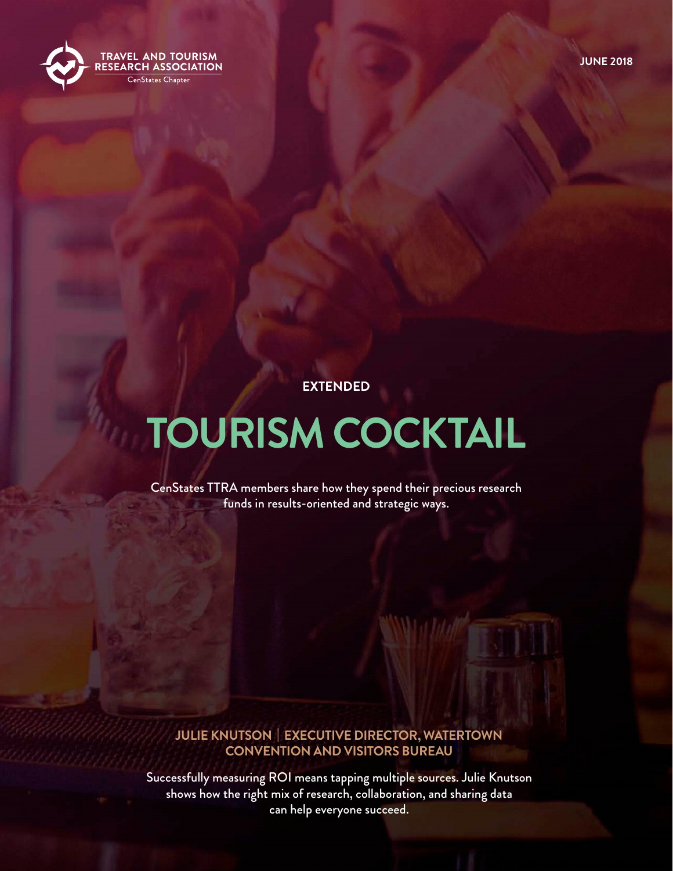

**EXTENDED**

# **TOURISM COCKTAIL**

CenStates TTRA members share how they spend their precious research funds in results-oriented and strategic ways.

#### **JULIE KNUTSON | EXECUTIVE DIRECTOR, WATERTOWN CONVENTION AND VISITORS BUREAU**

Successfully measuring ROI means tapping multiple sources. Julie Knutson shows how the right mix of research, collaboration, and sharing data can help everyone succeed.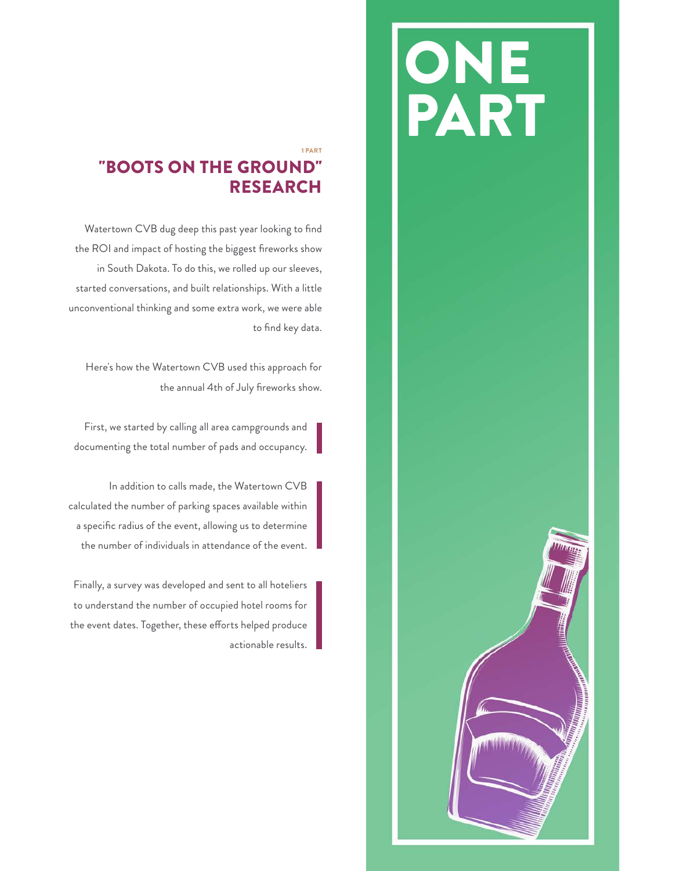# ONE PART

## 1 PART "BOOTS ON THE GROUND" RESEARCH

Watertown CVB dug deep this past year looking to find the ROI and impact of hosting the biggest fireworks show in South Dakota. To do this, we rolled up our sleeves, started conversations, and built relationships. With a little unconventional thinking and some extra work, we were able to find key data.

Here's how the Watertown CVB used this approach for the annual 4th of July fireworks show.

First, we started by calling all area campgrounds and documenting the total number of pads and occupancy.

In addition to calls made, the Watertown CVB calculated the number of parking spaces available within a specific radius of the event, allowing us to determine the number of individuals in attendance of the event.

Finally, a survey was developed and sent to all hoteliers to understand the number of occupied hotel rooms for the event dates. Together, these efforts helped produce actionable results.

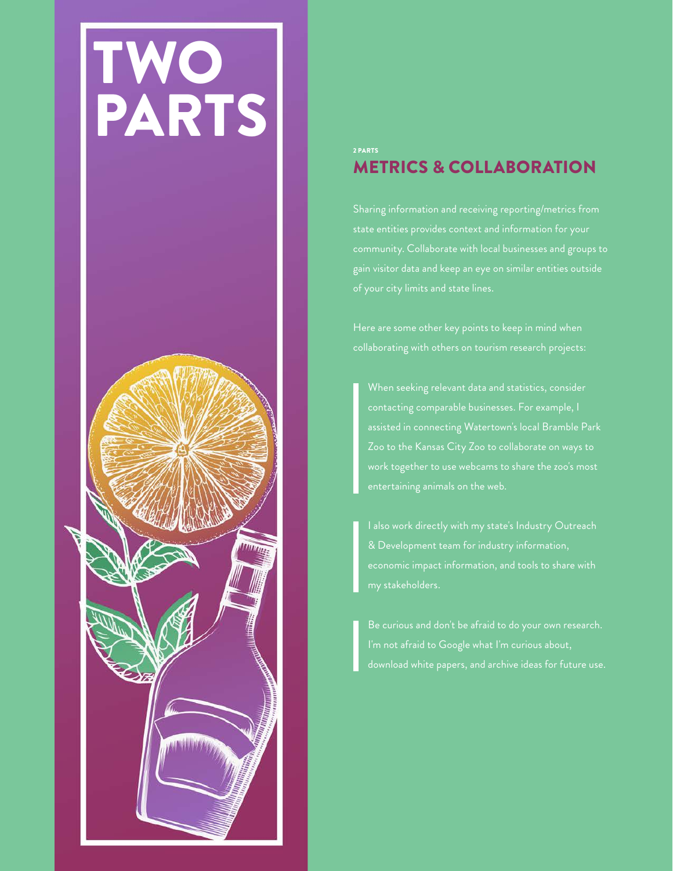

#### 2 PARTS METRICS & COLLABORATION

Sharing information and receiving reporting/metrics from community. Collaborate with local businesses and groups to gain visitor data and keep an eye on similar entities outside

When seeking relevant data and statistics, consider contacting comparable businesses. For example, I assisted in connecting Watertown's local Bramble Park work together to use webcams to share the zoo's most entertaining animals on the web.

I'm not afraid to Google what I'm curious about,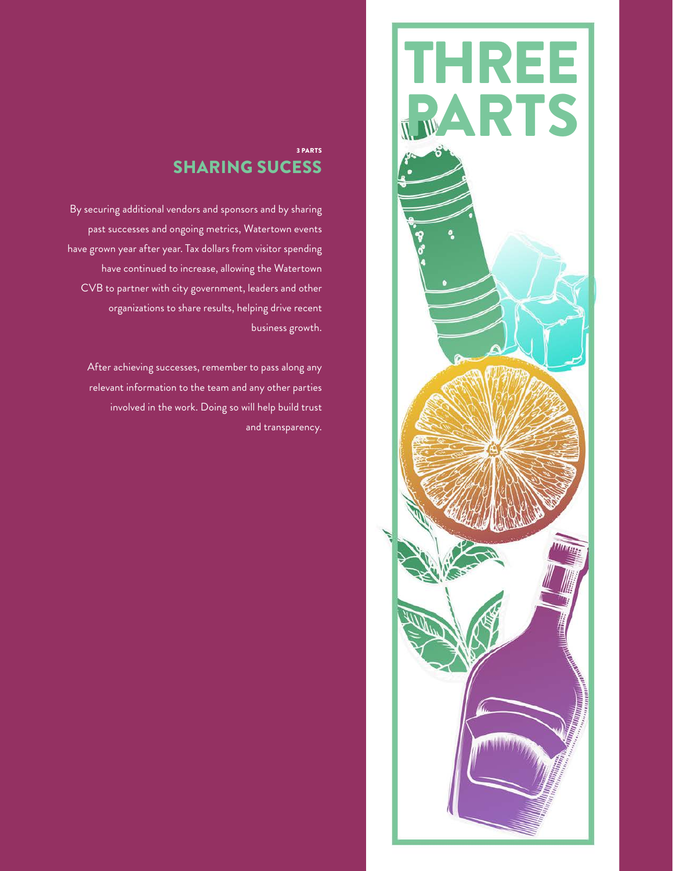

### 3 PARTS SHARING SUCESS

By securing additional vendors and sponsors and by sharing past successes and ongoing metrics, Watertown events have grown year after year. Tax dollars from visitor spending have continued to increase, allowing the Watertown CVB to partner with city government, leaders and other organizations to share results, helping drive recent business growth.

After achieving successes, remember to pass along any relevant information to the team and any other parties involved in the work. Doing so will help build trust and transparency.